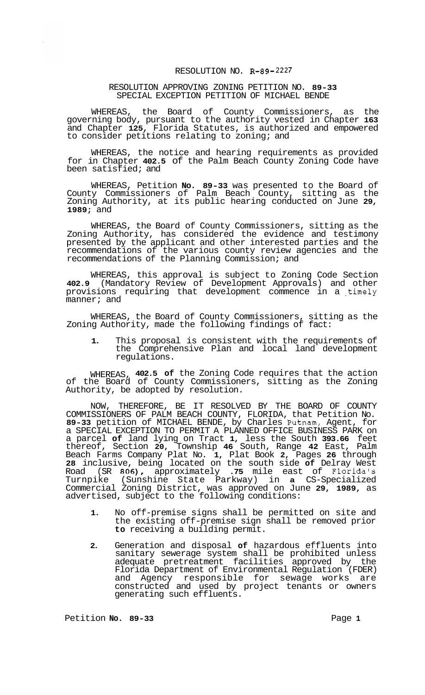## RESOLUTION NO. **R-89- 2227**

## RESOLUTION APPROVING ZONING PETITION NO. **89-33**  SPECIAL EXCEPTION PETITION OF MICHAEL BENDE

WHEREAS, the Board of County Commissioners, as the governing body, pursuant to the authority vested in Chapter **163**  and Chapter **125,** Florida Statutes, is authorized and empowered to consider petitions relating to zoning; and

WHEREAS, the notice and hearing requirements as provided for in Chapter **402.5** of the Palm Beach County Zoning Code have been satisfied; and

WHEREAS, Petition **No. 89-33** was presented to the Board of County Commissioners of Palm Beach County, sitting as the Zoning Authority, at its public hearing conducted on June **29, 1989;** and

WHEREAS, the Board of County Commissioners, sitting as the Zoning Authority, has considered the evidence and testimony presented by the applicant and other interested parties and the recommendations of the various county review agencies and the recommendations of the Planning Commission; and

WHEREAS, this approval is subject to Zoning Code Section **402.9** (Mandatory Review of Development Approvals) and other provisions requiring that development commence in a timely manner; and

WHEREAS, the Board of County Commissioners, sitting as the Zoning Authority, made the following findings of fact:

**1.** This proposal is consistent with the requirements of the Comprehensive Plan and local land development regulations.

WHEREAS, **402.5 of** the Zoning Code requires that the action of the Board of County Commissioners, sitting as the Zoning Authority, be adopted by resolution.

NOW, THEREFORE, BE IT RESOLVED BY THE BOARD OF COUNTY COMMISSIONERS OF PALM BEACH COUNTY, FLORIDA, that Petition No. **89-33** petition of MICHAEL BENDE, by Charles Putnam, Agent, for a SPECIAL EXCEPTION TO PERMIT A PLANNED OFFICE BUSINESS PARK on a parcel **of** land lying on Tract **1,** less the South **393.66** feet thereof, Section **20,** Township **46** South, Range **42** East, Palm Beach Farms Company Plat No. **1,** Plat Book **2,** Pages **26** through **28** inclusive, being located on the south side **of** Delray West Road (SR **806),** approximately **.75** mile east of Florida's Turnpike (Sunshine State Parkway) in **a** CS-Specialized Commercial Zoning District, was approved on June **29, 1989,** as advertised, subject to the following conditions:

- **1.** No off-premise signs shall be permitted on site and the existing off-premise sign shall be removed prior **to** receiving a building permit.
- **2.** Generation and disposal **of** hazardous effluents into sanitary sewerage system shall be prohibited unless adequate pretreatment facilities approved by the Florida Department of Environmental Regulation (FDER) and Agency responsible for sewage works are constructed and used by project tenants or owners generating such effluents.

Petition **No. 89-33** Page 1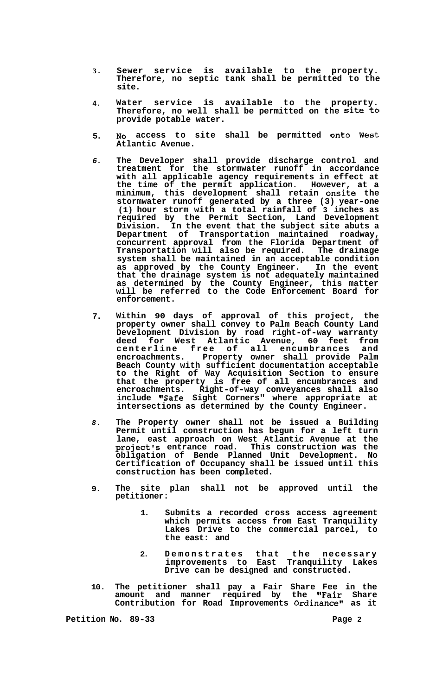- **3. Sewer service is available to the property. Therefore, no septic tank shall be permitted to the site.**
- **4. Water service is available to the property. Therefore, no well shall be permitted on the Site to provide potable water.**
- **5. NO access to site shall be permitted onto West Atlantic Avenue.**
- *6.*  **The Developer shall provide discharge control and treatment for the stormwater runoff in accordance with all applicable agency requirements in effect at the time of the permit application. However, at a minimum, this development shall retain onsite the stormwater runoff generated by a three (3) year-one (1) hour storm with a total rainfall of 3 inches as required by the Permit Section, Land Development Division. In the event that the subject site abuts a Department of Transportation maintained roadway, concurrent approval from the Florida Department of Transportation will also be required. The drainage system shall be maintained in an acceptable condition as approved by the County Engineer. In the event that the drainage system is not adequately maintained as determined by the County Engineer, this matter will be referred to the Code Enforcement Board for enforcement.**
- **7. Within 90 days of approval of this project, the property owner shall convey to Palm Beach County Land Development Division by road right-of-way warranty deed for West Atlantic Avenue, 60 feet from centerline free of all encumbrances and encroachments. Property owner shall provide Palm Beach County with sufficient documentation acceptable to the Right of Way Acquisition Section to ensure that the property is free of all encumbrances and encroachments. Right-of-way conveyances shall also**  include "Safe Sight Corners" where appropriate at **intersections as determined by the County Engineer.**
- *8.*  **The Property owner shall not be issued a Building Permit until construction has begun for a left turn lane, east approach on West Atlantic Avenue at the project's entrance road. This construction was the obligation of Bende Planned Unit Development. No Certification of Occupancy shall be issued until this construction has been completed.**
- **9. The site plan shall not be approved until the petitioner:** 
	- **1. Submits a recorded cross access agreement which permits access from East Tranquility Lakes Drive to the commercial parcel, to the east: and**
	- **2. Demonstrates that the necessary improvements to East Tranquility Lakes Drive can be designed and constructed.**
- **10. The petitioner shall pay a Fair Share Fee in the**  amount and manner required by the "Fair Share Contribution for Road Improvements Ordinance" as it

**Petition No. 89-33** Page 2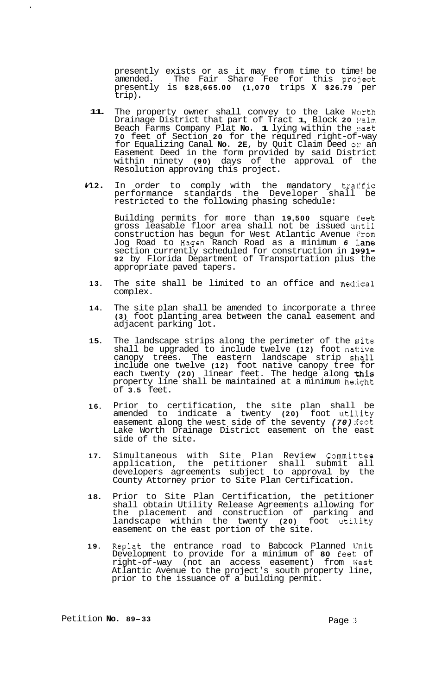presently exists or as it may from time to time! be amended. The Fair Share Fee for this project presently is **\$28,665.00 (1,070** trips **X \$26.79** per trip).

- **11.**  The property owner shall convey to the Lake Worth Drainage District that part of Tract **1,** Block **20** Palm Beach Farms Company Plat **No. 1** lying within the east **70** feet of Section **20** for the required right-of-way for Equalizing Canal **No. 2E,** by Quit Claim Deed **03::** an Easement Deed in the form provided by said District within ninety **(90)** days of the approval of the Resolution approving this project.
- **n2.**  In order to comply with the mandatory traffic performance standards the Developer shall be restricted to the following phasing schedule:

Building permits for more than **19,500** square feet gross leasable floor area shall not be issued until construction has begun for West Atlantic Avenue from Jog Road to Hagen Ranch Road as a minimum *6* lane section currently scheduled for construction in **1991- 92** by Florida Department of Transportation plus the appropriate paved tapers.

- **13.**  The site shall be limited to an office and medical complex.
- **14.**  The site plan shall be amended to incorporate a three **(3)** foot planting area between the canal easement and adjacent parking lot.
- **15.**  The landscape strips along the perimeter of the site shall be upgraded to include twelve **(12)** foot native canopy trees. The eastern landscape strip shall include one twelve **(12)** foot native canopy tree for each twenty **(20)** linear feet. The hedge along this property line shall be maintained at a minimum height of **3.5** feet.
- **16.**  Prior to certification, the site plan shall be amended to indicate a twenty (20) foot utility easement along the west side of the seventy *(70)* foot Lake Worth Drainage District easement on the east side of the site.
- **17.**  Simultaneous with Site Plan Review Committee application, the petitioner shall submit all developers agreements subject to approval by the County Attorney prior to Site Plan Certification.
- **18.**  Prior to Site Plan Certification, the petitioner shall obtain Utility Release Agreements allowing for the placement and construction of parking and landscape within the twenty **(20)** foot utility easement on the east portion of the site.
- **19.**  Replat the entrance road to Babcock Planned Unit Development to provide for a minimum of **80** feet:: of right-of-way (not an access easement) from West Atlantic Avenue to the project's south property line, prior to the issuance of a building permit.

 $\hat{\mathbf{r}}$